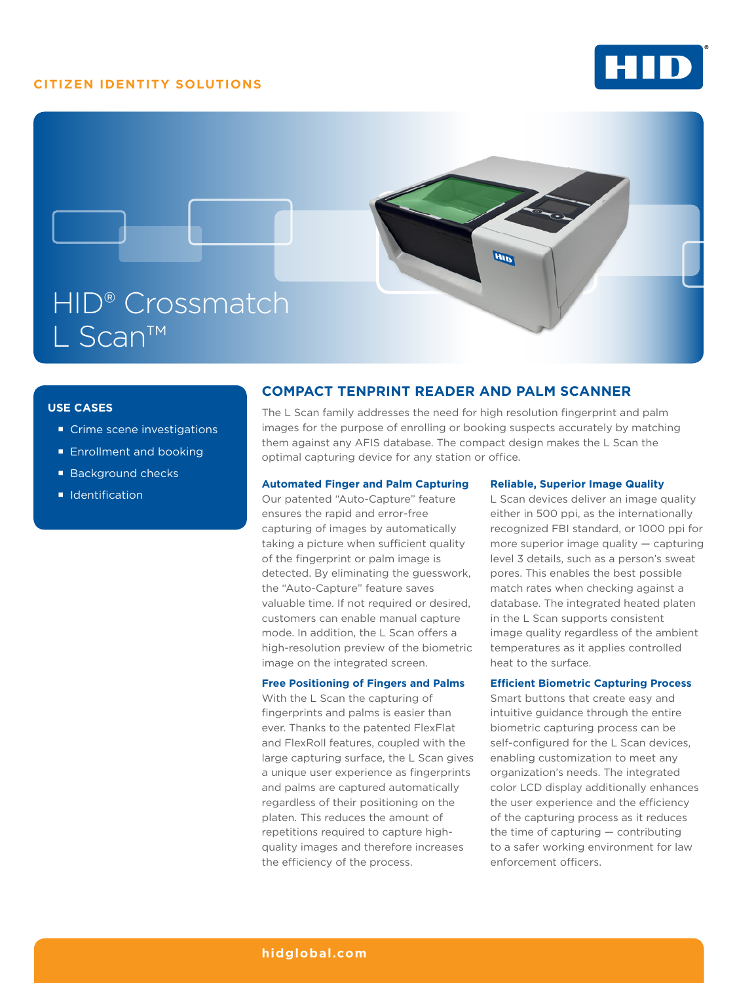## **CITIZEN IDENTITY SOLUTIONS**





### **USE CASES**

- Crime scene investigations
- **Enrollment and booking**
- Background checks
- **I** Identification

## **COMPACT TENPRINT READER AND PALM SCANNER**

The L Scan family addresses the need for high resolution fingerprint and palm images for the purpose of enrolling or booking suspects accurately by matching them against any AFIS database. The compact design makes the L Scan the optimal capturing device for any station or office.

### **Automated Finger and Palm Capturing**

Our patented "Auto-Capture" feature ensures the rapid and error-free capturing of images by automatically taking a picture when sufficient quality of the fingerprint or palm image is detected. By eliminating the guesswork, the "Auto-Capture" feature saves valuable time. If not required or desired, customers can enable manual capture mode. In addition, the L Scan offers a high-resolution preview of the biometric image on the integrated screen.

#### **Free Positioning of Fingers and Palms**

With the L Scan the capturing of fingerprints and palms is easier than ever. Thanks to the patented FlexFlat and FlexRoll features, coupled with the large capturing surface, the L Scan gives a unique user experience as fingerprints and palms are captured automatically regardless of their positioning on the platen. This reduces the amount of repetitions required to capture highquality images and therefore increases the efficiency of the process.

#### **Reliable, Superior Image Quality**

L Scan devices deliver an image quality either in 500 ppi, as the internationally recognized FBI standard, or 1000 ppi for more superior image quality — capturing level 3 details, such as a person's sweat pores. This enables the best possible match rates when checking against a database. The integrated heated platen in the L Scan supports consistent image quality regardless of the ambient temperatures as it applies controlled heat to the surface.

### **Efficient Biometric Capturing Process**

Smart buttons that create easy and intuitive guidance through the entire biometric capturing process can be self-configured for the L Scan devices, enabling customization to meet any organization's needs. The integrated color LCD display additionally enhances the user experience and the efficiency of the capturing process as it reduces the time of capturing — contributing to a safer working environment for law enforcement officers.